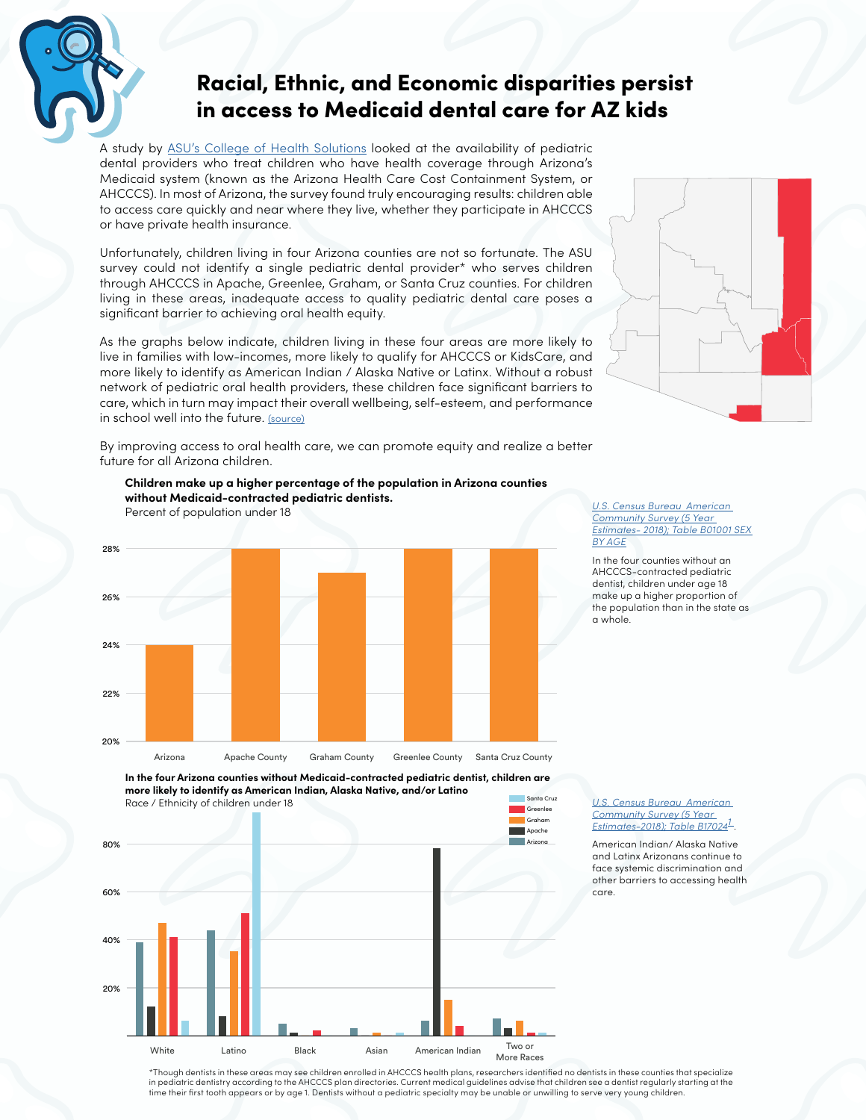

## Racial, Ethnic, and Economic disparities persist in access to Medicaid dental care for AZ kids

A study by [ASU's College of Health Solutions](http://azchildren.org/wp-content/uploads/2020/07/ASU-Network-Adequacy-Report.pdf) looked at the availability of pediatric dental providers who treat children who have health coverage through Arizona's Medicaid system (known as the Arizona Health Care Cost Containment System, or AHCCCS). In most of Arizona, the survey found truly encouraging results: children able to access care quickly and near where they live, whether they participate in AHCCCS or have private health insurance.

Unfortunately, children living in four Arizona counties are not so fortunate. The ASU survey could not identify a single pediatric dental provider\* who serves children through AHCCCS in Apache, Greenlee, Graham, or Santa Cruz counties. For children living in these areas, inadequate access to quality pediatric dental care poses a significant barrier to achieving oral health equity.

As the graphs below indicate, children living in these four areas are more likely to live in families with low-incomes, more likely to qualify for AHCCCS or KidsCare, and more likely to identify as American Indian / Alaska Native or Latinx. Without a robust network of pediatric oral health providers, these children face significant barriers to care, which in turn may impact their overall wellbeing, self-esteem, and performance in school well into the future. [\(source\)](https://www.azdhs.gov/documents/prevention/womens-childrens-health/reports-fact-sheets/oral-health/childrens-oral-health.pdf)

By improving access to oral health care, we can promote equity and realize a better future for all Arizona children.

**Children make up a higher percentage of the population in Arizona counties** 

**without Medicaid-contracted pediatric dentists.**

Percent of population under 18



*[U.S. Census Bureau American](https://factfinder.census.gov/faces/nav/jsf/pages/searchresults.xhtml?refresh=t#none)  [Community Survey \(5 Year](https://factfinder.census.gov/faces/nav/jsf/pages/searchresults.xhtml?refresh=t#none)  [Estimates- 2018\); Table B01001 SEX](https://factfinder.census.gov/faces/nav/jsf/pages/searchresults.xhtml?refresh=t#none)  [BY AGE](https://factfinder.census.gov/faces/nav/jsf/pages/searchresults.xhtml?refresh=t#none)*

In the four counties without an AHCCCS-contracted pediatric dentist, children under age 18 make up a higher proportion of the population than in the state as a whole.

*U.S. Census Bureau American Community Survey (5 Year Estimates-2018); Table B170241* .

American Indian/ Alaska Native and Latinx Arizonans continue to face systemic discrimination and other barriers to accessing health care.



20% 40% 60% 80% Two or More Races White Latino Black Asian American Indian

> \*Though dentists in these areas may see children enrolled in AHCCCS health plans, researchers identified no dentists in these counties that specialize in pediatric dentistry according to the AHCCCS plan directories. Current medical guidelines advise that children see a dentist regularly starting at the time their first tooth appears or by age 1. Dentists without a pediatric specialty may be unable or unwilling to serve very young children.